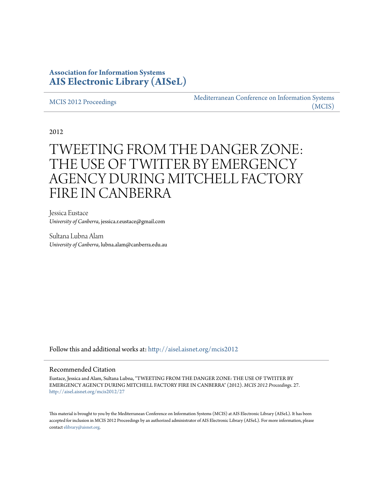### **Association for Information Systems [AIS Electronic Library \(AISeL\)](http://aisel.aisnet.org?utm_source=aisel.aisnet.org%2Fmcis2012%2F27&utm_medium=PDF&utm_campaign=PDFCoverPages)**

#### [MCIS 2012 Proceedings](http://aisel.aisnet.org/mcis2012?utm_source=aisel.aisnet.org%2Fmcis2012%2F27&utm_medium=PDF&utm_campaign=PDFCoverPages)

[Mediterranean Conference on Information Systems](http://aisel.aisnet.org/mcis?utm_source=aisel.aisnet.org%2Fmcis2012%2F27&utm_medium=PDF&utm_campaign=PDFCoverPages) [\(MCIS\)](http://aisel.aisnet.org/mcis?utm_source=aisel.aisnet.org%2Fmcis2012%2F27&utm_medium=PDF&utm_campaign=PDFCoverPages)

2012

# TWEETING FROM THE DANGER ZONE: THE USE OF TWITTER BY EMERGENCY AGENCY DURING MITCHELL FACTORY FIRE IN CANBERRA

Jessica Eustace *University of Canberra*, jessica.r.eustace@gmail.com

Sultana Lubna Alam *University of Canberra*, lubna.alam@canberra.edu.au

Follow this and additional works at: [http://aisel.aisnet.org/mcis2012](http://aisel.aisnet.org/mcis2012?utm_source=aisel.aisnet.org%2Fmcis2012%2F27&utm_medium=PDF&utm_campaign=PDFCoverPages)

#### Recommended Citation

Eustace, Jessica and Alam, Sultana Lubna, "TWEETING FROM THE DANGER ZONE: THE USE OF TWITTER BY EMERGENCY AGENCY DURING MITCHELL FACTORY FIRE IN CANBERRA" (2012). *MCIS 2012 Proceedings*. 27. [http://aisel.aisnet.org/mcis2012/27](http://aisel.aisnet.org/mcis2012/27?utm_source=aisel.aisnet.org%2Fmcis2012%2F27&utm_medium=PDF&utm_campaign=PDFCoverPages)

This material is brought to you by the Mediterranean Conference on Information Systems (MCIS) at AIS Electronic Library (AISeL). It has been accepted for inclusion in MCIS 2012 Proceedings by an authorized administrator of AIS Electronic Library (AISeL). For more information, please contact [elibrary@aisnet.org.](mailto:elibrary@aisnet.org%3E)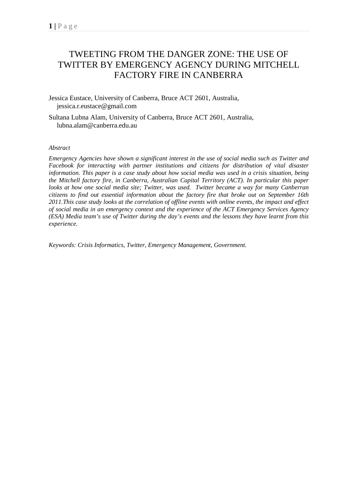# TWEETING FROM THE DANGER ZONE: THE USE OF TWITTER BY EMERGENCY AGENCY DURING MITCHELL FACTORY FIRE IN CANBERRA

Jessica Eustace, University of Canberra, Bruce ACT 2601, Australia, jessica.r.eustace@gmail.com

Sultana Lubna Alam, University of Canberra, Bruce ACT 2601, Australia, lubna.alam@canberra.edu.au

#### *Abstract*

*Emergency Agencies have shown a significant interest in the use of social media such as Twitter and Facebook for interacting with partner institutions and citizens for distribution of vital disaster information. This paper is a case study about how social media was used in a crisis situation, being the Mitchell factory fire, in Canberra, Australian Capital Territory (ACT). In particular this paper looks at how one social media site; Twitter, was used. Twitter became a way for many Canberran citizens to find out essential information about the factory fire that broke out on September 16th 2011.This case study looks at the correlation of offline events with online events, the impact and effect of social media in an emergency context and the experience of the ACT Emergency Services Agency (ESA) Media team's use of Twitter during the day's events and the lessons they have learnt from this experience.* 

*Keywords: Crisis Informatics, Twitter, Emergency Management, Government.*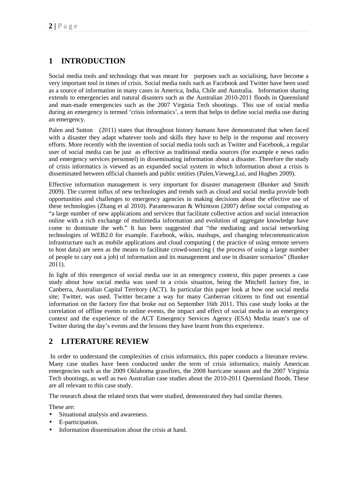### **1 INTRODUCTION**

Social media tools and technology that was meant for purposes such as socialising, have become a very important tool in times of crisis. Social media tools such as Facebook and Twitter have been used as a source of information in many cases in America, India, Chile and Australia. Information sharing extends to emergencies and natural disasters such as the Australian 2010-2011 floods in Queensland and man-made emergencies such as the 2007 Virginia Tech shootings. This use of social media during an emergency is termed 'crisis informatics', a term that helps to define social media use during an emergency.

Palen and Sutton (2011) states that throughout history humans have demonstrated that when faced with a disaster they adapt whatever tools and skills they have to help in the response and recovery efforts. More recently with the invention of social media tools such as Twitter and Facebook, a regular user of social media can be just as effective as traditional media sources (for example e news radio and emergency services personnel) in disseminating information about a disaster. Therefore the study of crisis informatics is viewed as an expanded social system in which information about a crisis is disseminated between official channels and public entities (Palen,Vieweg,Lui, and Hughes 2009).

Effective information management is very important for disaster management (Bunker and Smith 2009). The current influx of new technologies and trends such as cloud and social media provide both opportunities and challenges to emergency agencies in making decisions about the effective use of these technologies (Zhang et al 2010). Parameswaran & Whintson (2007) define social computing as "a large number of new applications and services that facilitate collective action and social interaction online with a rich exchange of multimedia information and evolution of aggregate knowledge have come to dominate the web." It has been suggested that "the mediating and social networking technologies of WEB2.0 for example. Facebook, wikis, mashups, and changing telecommunication infrastructure such as mobile applications and cloud computing ( the practice of using remote servers to host data) are seen as the means to facilitate crowd-sourcing ( the process of using a large number of people to cary out a job) of information and its management and use in disaster scenarios" (Bunker 2011).

In light of this emergence of social media use in an emergency context, this paper presents a case study about how social media was used in a crisis situation, being the Mitchell factory fire, in Canberra, Australian Capital Territory (ACT). In particular this paper look at how one social media site; Twitter, was used. Twitter became a way for many Canberran citizens to find out essential information on the factory fire that broke out on September 16th 2011. This case study looks at the correlation of offline events to online events, the impact and effect of social media in an emergency context and the experience of the ACT Emergency Services Agency (ESA) Media team's use of Twitter during the day's events and the lessons they have learnt from this experience.

### **2 LITERATURE REVIEW**

 In order to understand the complexities of crisis informatics, this paper conducts a literature review. Many case studies have been conducted under the term of crisis informatics; mainly American emergencies such as the 2009 Oklahoma grassfires, the 2008 hurricane season and the 2007 Virginia Tech shootings, as well as two Australian case studies about the 2010-2011 Queensland floods. These are all relevant to this case study.

The research about the related texts that were studied, demonstrated they had similar themes.

These are:

- Situational analysis and awareness.
- E-participation.
- Information dissemination about the crisis at hand.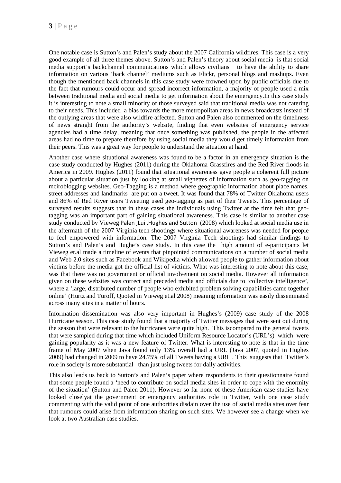One notable case is Sutton's and Palen's study about the 2007 California wildfires. This case is a very good example of all three themes above. Sutton's and Palen's theory about social media is that social media support's backchannel communications which allows civilians to have the ability to share information on various 'back channel' mediums such as Flickr, personal blogs and mashups. Even though the mentioned back channels in this case study were frowned upon by public officials due to the fact that rumours could occur and spread incorrect information, a majority of people used a mix between traditional media and social media to get information about the emergency.In this case study it is interesting to note a small minority of those surveyed said that traditional media was not catering to their needs. This included a bias towards the more metropolitan areas in news broadcasts instead of the outlying areas that were also wildfire affected. Sutton and Palen also commented on the timeliness of news straight from the authority's website, finding that even websites of emergency service agencies had a time delay, meaning that once something was published, the people in the affected areas had no time to prepare therefore by using social media they would get timely information from their peers. This was a great way for people to understand the situation at hand.

Another case where situational awareness was found to be a factor in an emergency situation is the case study conducted by Hughes (2011) during the Oklahoma Grassfires and the Red River floods in America in 2009. Hughes (2011) found that situational awareness gave people a coherent full picture about a particular situation just by looking at small vignettes of information such as geo-tagging on mciroblogging websites. Geo-Tagging is a method where geographic information about place names, street addresses and landmarks are put on a tweet. It was found that 78% of Twitter Oklahoma users and 86% of Red River users Tweeting used geo-tagging as part of their Tweets. This percentage of surveyed results suggests that in these cases the individuals using Twitter at the time felt that geotagging was an important part of gaining situational awareness. This case is similar to another case study conducted by Vieweg Palen ,Lui ,Hughes and Sutton (2008) which looked at social media use in the aftermath of the 2007 Virginia tech shootings where situational awareness was needed for people to feel empowered with information. The 2007 Virginia Tech shootings had similar findings to Sutton's and Palen's and Hughe's case study. In this case the high amount of e-participants let Vieweg et.al made a timeline of events that pinpointed communications on a number of social media and Web 2.0 sites such as Facebook and Wikipedia which allowed people to gather information about victims before the media got the official list of victims. What was interesting to note about this case, was that there was no government or official involvement on social media. However all information given on these websites was correct and preceded media and officials due to 'collective intelligence', where a 'large, distributed number of people who exhibited problem solving capabilities came together online' (Hurtz and Turoff, Quoted in Vieweg et.al 2008) meaning information was easily disseminated across many sites in a matter of hours.

Information dissemination was also very important in Hughes's (2009) case study of the 2008 Hurricane season. This case study found that a majority of Twitter messages that were sent out during the season that were relevant to the hurricanes were quite high. This iscompared to the general tweets that were sampled during that time which included Uniform Resource Locator's (URL's) which were gaining popularity as it was a new feature of Twitter. What is interesting to note is that in the time frame of May 2007 when Java found only 13% overall had a URL (Java 2007, quoted in Hughes 2009) had changed in 2009 to have 24.75% of all Tweets having a URL . This suggests that Twitter's role in society is more substantial than just using tweets for daily activities.

This also leads us back to Sutton's and Palen's paper where respondents to their questionnaire found that some people found a 'need to contribute on social media sites in order to cope with the enormity of the situation' (Sutton and Palen 2011). However so far none of these American case studies have looked closelyat the government or emergency authorities role in Twitter, with one case study commenting with the valid point of one authorities disdain over the use of social media sites over fear that rumours could arise from information sharing on such sites. We however see a change when we look at two Australian case studies.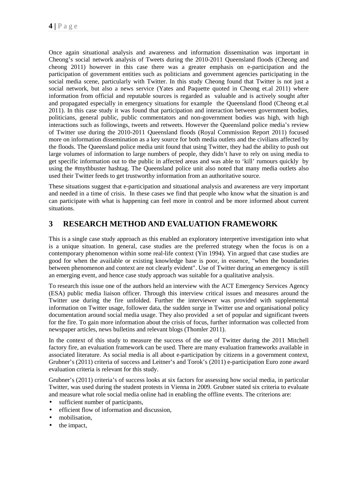Once again situational analysis and awareness and information dissemination was important in Cheong's social network analysis of Tweets during the 2010-2011 Queensland floods (Cheong and cheong 2011) however in this case there was a greater emphasis on e-participation and the participation of government entities such as politicians and government agencies participating in the social media scene, particularly with Twitter. In this study Cheong found that Twitter is not just a social network, but also a news service (Yates and Paquette quoted in Cheong et.al 2011) where information from official and reputable sources is regarded as valuable and is actively sought after and propagated especially in emergency situations for example the Queensland flood (Cheong et.al 2011). In this case study it was found that participation and interaction between government bodies, politicians, general public, public commentators and non-government bodies was high, with high interactions such as followings, tweets and retweets. However the Queensland police media's review of Twitter use during the 2010-2011 Queensland floods (Royal Commission Report 2011) focused more on information dissemination as a key source for both media outlets and the civilians affected by the floods. The Queensland police media unit found that using Twitter, they had the ability to push out large volumes of information to large numbers of people, they didn't have to rely on using media to get specific information out to the public in affected areas and was able to 'kill' rumours quickly by using the #mythbuster hashtag. The Queensland police unit also noted that many media outlets also used their Twitter feeds to get trustworthy information from an authoritative source.

These situations suggest that e-participation and situational analysis and awareness are very important and needed in a time of crisis. In these cases we find that people who know what the situation is and can participate with what is happening can feel more in control and be more informed about current situations.

### **3 RESEARCH METHOD AND EVALUATION FRAMEWORK**

This is a single case study approach as this enabled an exploratory interpretive investigation into what is a unique situation. In general, case studies are the preferred strategy when the focus is on a contemporary phenomenon within some real-life context (Yin 1994). Yin argued that case studies are good for when the available or existing knowledge base is poor, in essence, "when the boundaries between phenomenon and context are not clearly evident". Use of Twitter during an emergency is still an emerging event, and hence case study approach was suitable for a qualitative analysis.

To research this issue one of the authors held an interview with the ACT Emergency Services Agency (ESA) public media liaison officer. Through this interview critical issues and measures around the Twitter use during the fire unfolded. Further the interviewer was provided with supplemental information on Twitter usage, follower data, the sudden surge in Twitter use and organisational policy documentation around social media usage. They also provided a set of popular and significant tweets for the fire. To gain more information about the crisis of focus, further information was collected from newspaper articles, news bulletins and relevant blogs (Thomler 2011).

In the context of this study to measure the success of the use of Twitter during the 2011 Mitchell factory fire, an evaluation framework can be used. There are many evaluation frameworks available in associated literature. As social media is all about e-participation by citizens in a government context, Grubner's (2011) criteria of success and Leitner's and Torok's (2011) e-participation Euro zone award evaluation criteria is relevant for this study.

Grubner's (2011) criteria's of success looks at six factors for assessing how social media, in particular Twitter, was used during the student protests in Vienna in 2009. Grubner stated six criteria to evaluate and measure what role social media online had in enabling the offline events. The criterions are:

- sufficient number of participants,
- efficient flow of information and discussion,
- mobilisation,
- the impact,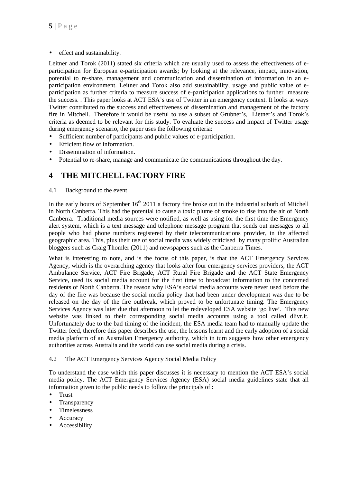• effect and sustainability.

Leitner and Torok (2011) stated six criteria which are usually used to assess the effectiveness of eparticipation for European e-participation awards; by looking at the relevance, impact, innovation, potential to re-share, management and communication and dissemination of information in an eparticipation environment. Leitner and Torok also add sustainability, usage and public value of eparticipation as further criteria to measure success of e-participation applications to further measure the success. . This paper looks at ACT ESA's use of Twitter in an emergency context. It looks at ways Twitter contributed to the success and effectiveness of dissemination and management of the factory fire in Mitchell. Therefore it would be useful to use a subset of Grubner's, Lietner's and Torok's criteria as deemed to be relevant for this study. To evaluate the success and impact of Twitter usage during emergency scenario, the paper uses the following criteria:

- Sufficient number of participants and public values of e-participation.
- Efficient flow of information.
- Dissemination of information.
- Potential to re-share, manage and communicate the communications throughout the day.

### **4 THE MITCHELL FACTORY FIRE**

4.1 Background to the event

In the early hours of September  $16<sup>th</sup> 2011$  a factory fire broke out in the industrial suburb of Mitchell in North Canberra. This had the potential to cause a toxic plume of smoke to rise into the air of North Canberra. Traditional media sources were notified, as well as using for the first time the Emergency alert system, which is a text message and telephone message program that sends out messages to all people who had phone numbers registered by their telecommunications provider, in the affected geographic area. This, plus their use of social media was widely criticised by many prolific Australian bloggers such as Craig Thomler (2011) and newspapers such as the Canberra Times.

What is interesting to note, and is the focus of this paper, is that the ACT Emergency Services Agency, which is the overarching agency that looks after four emergency services providers; the ACT Ambulance Service, ACT Fire Brigade, ACT Rural Fire Brigade and the ACT State Emergency Service, used its social media account for the first time to broadcast information to the concerned residents of North Canberra. The reason why ESA's social media accounts were never used before the day of the fire was because the social media policy that had been under development was due to be released on the day of the fire outbreak, which proved to be unfortunate timing. The Emergency Services Agency was later due that afternoon to let the redeveloped ESA website 'go live'. This new website was linked to their corresponding social media accounts using a tool called dlivr.it. Unfortunately due to the bad timing of the incident, the ESA media team had to manually update the Twitter feed, therefore this paper describes the use, the lessons learnt and the early adoption of a social media platform of an Australian Emergency authority, which in turn suggests how other emergency authorities across Australia and the world can use social media during a crisis.

#### 4.2 The ACT Emergency Services Agency Social Media Policy

To understand the case which this paper discusses it is necessary to mention the ACT ESA's social media policy. The ACT Emergency Services Agency (ESA) social media guidelines state that all information given to the public needs to follow the principals of :

- Trust
- **Transparency**
- Timelessness
- **Accuracy**
- **Accessibility**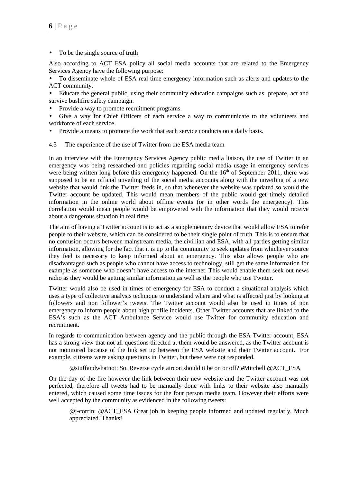To be the single source of truth

Also according to ACT ESA policy all social media accounts that are related to the Emergency Services Agency have the following purpose:

• To disseminate whole of ESA real time emergency information such as alerts and updates to the ACT community.

• Educate the general public, using their community education campaigns such as prepare, act and survive bushfire safety campaign.

• Provide a way to promote recruitment programs.

Give a way for Chief Officers of each service a way to communicate to the volunteers and workforce of each service.

- Provide a means to promote the work that each service conducts on a daily basis.
- 4.3 The experience of the use of Twitter from the ESA media team

In an interview with the Emergency Services Agency public media liaison, the use of Twitter in an emergency was being researched and policies regarding social media usage in emergency services were being written long before this emergency happened. On the  $16<sup>th</sup>$  of September 2011, there was supposed to be an official unveiling of the social media accounts along with the unveiling of a new website that would link the Twitter feeds in, so that whenever the website was updated so would the Twitter account be updated. This would mean members of the public would get timely detailed information in the online world about offline events (or in other words the emergency). This correlation would mean people would be empowered with the information that they would receive about a dangerous situation in real time.

The aim of having a Twitter account is to act as a supplementary device that would allow ESA to refer people to their website, which can be considered to be their single point of truth. This is to ensure that no confusion occurs between mainstream media, the civillian and ESA, with all parties getting similar information, allowing for the fact that it is up to the community to seek updates from whichever source they feel is necessary to keep informed about an emergency. This also allows people who are disadvantaged such as people who cannot have access to technology, still get the same information for example as someone who doesn't have access to the internet. This would enable them seek out news radio as they would be getting similar information as well as the people who use Twitter.

Twitter would also be used in times of emergency for ESA to conduct a situational analysis which uses a type of collective analysis technique to understand where and what is affected just by looking at followers and non follower's tweets. The Twitter account would also be used in times of non emergency to inform people about high profile incidents. Other Twitter accounts that are linked to the ESA's such as the ACT Ambulance Service would use Twitter for community education and recruitment.

In regards to communication between agency and the public through the ESA Twitter account, ESA has a strong view that not all questions directed at them would be answered, as the Twitter account is not monitored because of the link set up between the ESA website and their Twitter account. For example, citizens were asking questions in Twitter, but these were not responded.

@stuffandwhatnot: So. Reverse cycle aircon should it be on or off? #Mitchell @ACT\_ESA

On the day of the fire however the link between their new website and the Twitter account was not perfected, therefore all tweets had to be manually done with links to their website also manually entered, which caused some time issues for the four person media team. However their efforts were well accepted by the community as evidenced in the following tweets:

 $@i$ -corrin:  $@ACT$  ESA Great job in keeping people informed and updated regularly. Much appreciated. Thanks!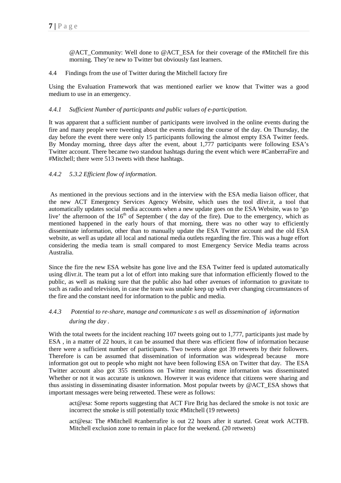@ACT\_Community: Well done to @ACT\_ESA for their coverage of the #Mitchell fire this morning. They're new to Twitter but obviously fast learners.

#### 4.4 Findings from the use of Twitter during the Mitchell factory fire

Using the Evaluation Framework that was mentioned earlier we know that Twitter was a good medium to use in an emergency.

#### *4.4.1 Sufficient Number of participants and public values of e-participation.*

It was apparent that a sufficient number of participants were involved in the online events during the fire and many people were tweeting about the events during the course of the day. On Thursday, the day before the event there were only 15 participants following the almost empty ESA Twitter feeds. By Monday morning, three days after the event, about 1,777 participants were following ESA's Twitter account. There became two standout hashtags during the event which were #CanberraFire and #Mitchell; there were 513 tweets with these hashtags.

#### *4.4.2 5.3.2 Efficient flow of information.*

 As mentioned in the previous sections and in the interview with the ESA media liaison officer, that the new ACT Emergency Services Agency Website, which uses the tool dlivr.it, a tool that automatically updates social media accounts when a new update goes on the ESA Website, was to 'go live' the afternoon of the  $16<sup>th</sup>$  of September ( the day of the fire). Due to the emergency, which as mentioned happened in the early hours of that morning, there was no other way to efficiently disseminate information, other than to manually update the ESA Twitter account and the old ESA website, as well as update all local and national media outlets regarding the fire. This was a huge effort considering the media team is small compared to most Emergency Service Media teams across Australia.

Since the fire the new ESA website has gone live and the ESA Twitter feed is updated automatically using dlivr.it. The team put a lot of effort into making sure that information efficiently flowed to the public, as well as making sure that the public also had other avenues of information to gravitate to such as radio and television, in case the team was unable keep up with ever changing circumstances of the fire and the constant need for information to the public and media.

### *4.4.3 Potential to re-share, manage and communicate s as well as dissemination of information during the day .*

With the total tweets for the incident reaching 107 tweets going out to 1,777, participants just made by ESA , in a matter of 22 hours, it can be assumed that there was efficient flow of information because there were a sufficient number of participants. Two tweets alone got 39 retweets by their followers. Therefore is can be assumed that dissemination of information was widespread because more information got out to people who might not have been following ESA on Twitter that day. The ESA Twitter account also got 355 mentions on Twitter meaning more information was disseminated Whether or not it was accurate is unknown. However it was evidence that citizens were sharing and thus assisting in disseminating disaster information. Most popular tweets by @ACT\_ESA shows that important messages were being retweeted. These were as follows:

act@esa: Some reports suggesting that ACT Fire Brig has declared the smoke is not toxic are incorrect the smoke is still potentially toxic #Mitchell (19 retweets)

act@esa: The #Mitchell #canberrafire is out 22 hours after it started. Great work ACTFB. Mitchell exclusion zone to remain in place for the weekend. (20 retweets)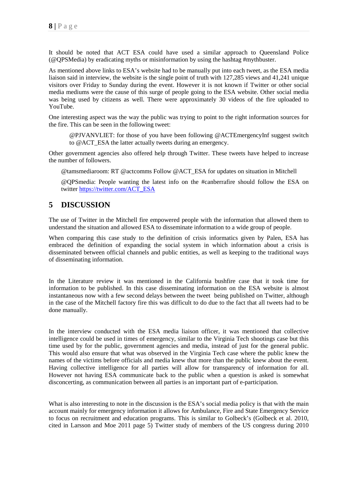It should be noted that ACT ESA could have used a similar approach to Queensland Police (@QPSMedia) by eradicating myths or misinformation by using the hashtag #mythbuster.

As mentioned above links to ESA's website had to be manually put into each tweet, as the ESA media liaison said in interview, the website is the single point of truth with 127,285 views and 41,241 unique visitors over Friday to Sunday during the event. However it is not known if Twitter or other social media mediums were the cause of this surge of people going to the ESA website. Other social media was being used by citizens as well. There were approximately 30 videos of the fire uploaded to YouTube.

One interesting aspect was the way the public was trying to point to the right information sources for the fire. This can be seen in the following tweet:

@PJVANVLIET: for those of you have been following @ACTEmergencyInf suggest switch to @ACT\_ESA the latter actually tweets during an emergency.

Other government agencies also offered help through Twitter. These tweets have helped to increase the number of followers.

@tamsmediaroom: RT @actcomms Follow @ACT\_ESA for updates on situation in Mitchell

@QPSmedia: People wanting the latest info on the #canberrafire should follow the ESA on twitter https://twitter.com/ACT\_ESA

### **5 DISCUSSION**

The use of Twitter in the Mitchell fire empowered people with the information that allowed them to understand the situation and allowed ESA to disseminate information to a wide group of people.

When comparing this case study to the definition of crisis informatics given by Palen, ESA has embraced the definition of expanding the social system in which information about a crisis is disseminated between official channels and public entities, as well as keeping to the traditional ways of disseminating information.

In the Literature review it was mentioned in the California bushfire case that it took time for information to be published. In this case disseminating information on the ESA website is almost instantaneous now with a few second delays between the tweet being published on Twitter, although in the case of the Mitchell factory fire this was difficult to do due to the fact that all tweets had to be done manually.

In the interview conducted with the ESA media liaison officer, it was mentioned that collective intelligence could be used in times of emergency, similar to the Virginia Tech shootings case but this time used by for the public, government agencies and media, instead of just for the general public. This would also ensure that what was observed in the Virginia Tech case where the public knew the names of the victims before officials and media knew that more than the public knew about the event. Having collective intelligence for all parties will allow for transparency of information for all. However not having ESA communicate back to the public when a question is asked is somewhat disconcerting, as communication between all parties is an important part of e-participation.

What is also interesting to note in the discussion is the ESA's social media policy is that with the main account mainly for emergency information it allows for Ambulance, Fire and State Emergency Service to focus on recruitment and education programs. This is similar to Golbeck's (Golbeck et al. 2010, cited in Larsson and Moe 2011 page 5) Twitter study of members of the US congress during 2010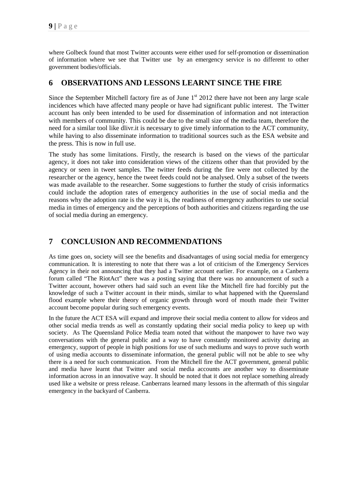where Golbeck found that most Twitter accounts were either used for self-promotion or dissemination of information where we see that Twitter use by an emergency service is no different to other government bodies/officials.

### **6 OBSERVATIONS AND LESSONS LEARNT SINCE THE FIRE**

Since the September Mitchell factory fire as of June  $1<sup>st</sup>$  2012 there have not been any large scale incidences which have affected many people or have had significant public interest. The Twitter account has only been intended to be used for dissemination of information and not interaction with members of community. This could be due to the small size of the media team, therefore the need for a similar tool like dlivr.it is necessary to give timely information to the ACT community, while having to also disseminate information to traditional sources such as the ESA website and the press. This is now in full use.

The study has some limitations. Firstly, the research is based on the views of the particular agency, it does not take into consideration views of the citizens other than that provided by the agency or seen in tweet samples. The twitter feeds during the fire were not collected by the researcher or the agency, hence the tweet feeds could not be analysed. Only a subset of the tweets was made available to the researcher. Some suggestions to further the study of crisis informatics could include the adoption rates of emergency authorities in the use of social media and the reasons why the adoption rate is the way it is, the readiness of emergency authorities to use social media in times of emergency and the perceptions of both authorities and citizens regarding the use of social media during an emergency.

## **7 CONCLUSION AND RECOMMENDATIONS**

As time goes on, society will see the benefits and disadvantages of using social media for emergency communication. It is interesting to note that there was a lot of criticism of the Emergency Services Agency in their not announcing that they had a Twitter account earlier. For example, on a Canberra forum called "The RiotAct" there was a posting saying that there was no announcement of such a Twitter account, however others had said such an event like the Mitchell fire had forcibly put the knowledge of such a Twitter account in their minds, similar to what happened with the Queensland flood example where their theory of organic growth through word of mouth made their Twitter account become popular during such emergency events.

In the future the ACT ESA will expand and improve their social media content to allow for videos and other social media trends as well as constantly updating their social media policy to keep up with society. As The Queensland Police Media team noted that without the manpower to have two way conversations with the general public and a way to have constantly monitored activity during an emergency, support of people in high positions for use of such mediums and ways to prove such worth of using media accounts to disseminate information, the general public will not be able to see why there is a need for such communication. From the Mitchell fire the ACT government, general public and media have learnt that Twitter and social media accounts are another way to disseminate information across in an innovative way. It should be noted that it does not replace something already used like a website or press release. Canberrans learned many lessons in the aftermath of this singular emergency in the backyard of Canberra.